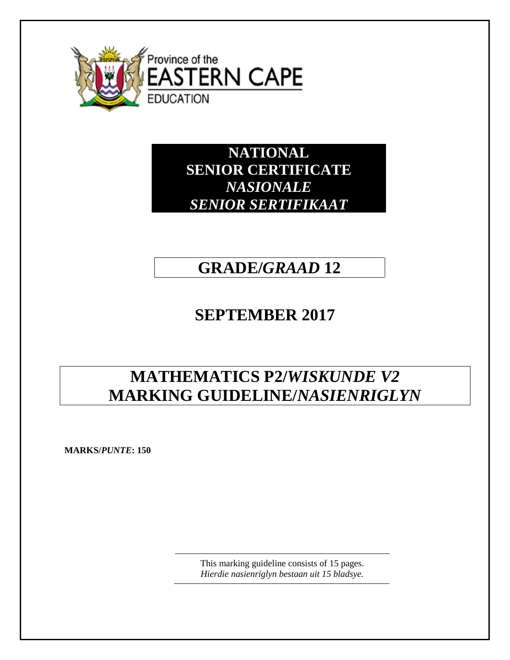

**NATIONAL SENIOR CERTIFICATE** *NASIONALE SENIOR SERTIFIKAAT*

## **GRADE/***GRAAD* **12**

# **SEPTEMBER 2017**

# **MATHEMATICS P2/***WISKUNDE V2* **MARKING GUIDELINE/***NASIENRIGLYN*

**MARKS/***PUNTE***: 150**

This marking guideline consists of 15 pages. *Hierdie nasienriglyn bestaan uit 15 bladsye.*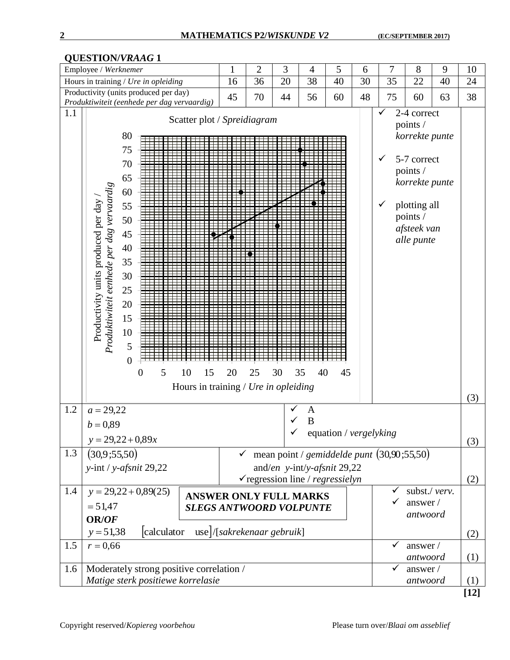#### Employee / *Werknemer* 1 2 3 4 5 6 7 8 9 10 Hours in training / *Ure in opleiding* 16 36 20 38 40 30 35 22 40 24 Productivity (units produced per day) *Productivity (units produced per day)*<br>*Produktiwiteit (eenhede per dag vervaardig)* | 45 | 70 | 44 | 56 | 60 | 48 | 75 | 60 | 63 | 38  $1.1$   $\sqrt{2}$ -4 correct Scatter plot / *Spreidiagram* points / *korrekte punte*  80 75 5-7 correct 70 points / 65 *korrekte punte Produktiwiteit eenhede per dag vervaardig*  Produktiwiteit eenhede per dag vervaardig 60 Productivity units produced per day / Productivity units produced per day plotting all 55 points / 50 *afsteek van*  45 *alle punte* 40 35 30 25 20 15 10 5 0 0 5 10 15 20 25 30 35 40 45 Hours in training / *Ure in opleiding* (3) 1.2  $a = 29.22$  A  $\sqrt{B}$  $b = 0,89$  equation / *vergelyking*  $y = 29,22 + 0,89x$ (3) 1.3  $(30.9:55.50)$  $\checkmark$  mean point / *gemiddelde punt*  $(30,90; 55,50)$ and/*en y*-int/*y-afsnit* 29,22 *y*-int / *y*-*afsnit* 29,22 regression line / *regressielyn* (2) 1.4 subst./ *verv.*  $y = 29,22 + 0,89(25)$ **ANSWER ONLY FULL MARKS**  $\checkmark$  answer /  $=51,47$ *SLEGS ANTWOORD VOLPUNTEantwoord* **OR/***OF*  $y = 51,38$  calculator /[*sakrekenaar gebruik*] (2) 1.5  $r = 0,66$  $\checkmark$  answer / *antwoord* (1) 1.6 Moderately strong positive correlation / answer / *Matige sterk positiewe korrelasie antwoord* (1) **[12]**

**QUESTION/***VRAAG* **1**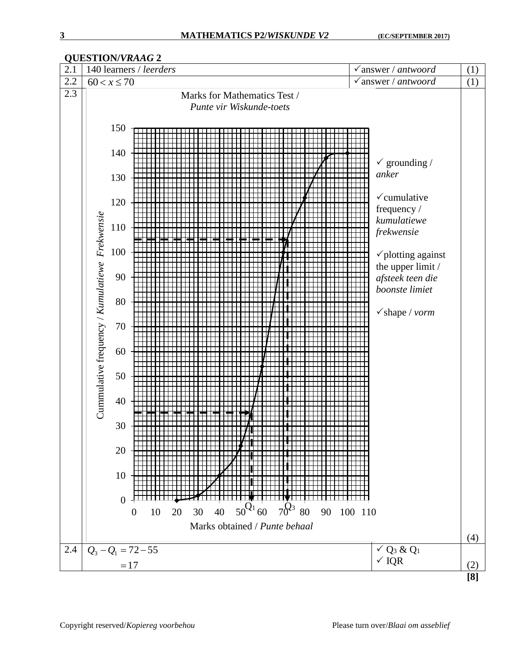

### **QUESTION/***VRAAG* **2**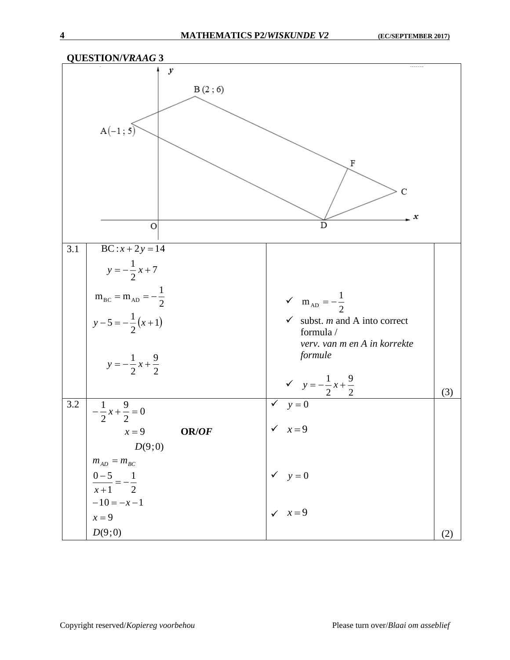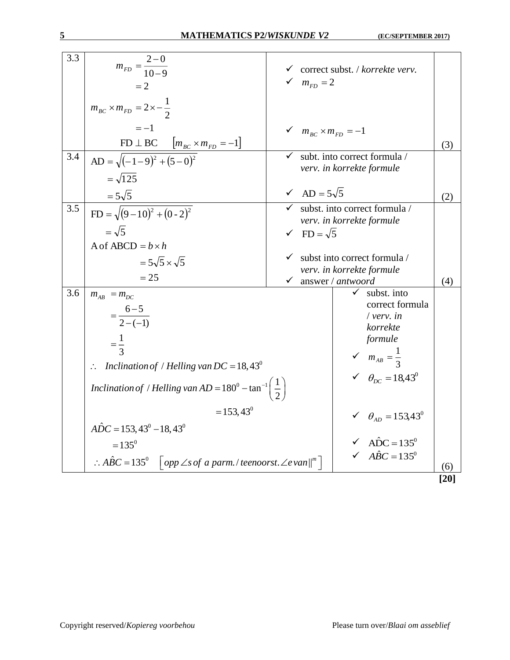| 3.3 | $m_{FD} = \frac{2-0}{10-9}$<br>$=2$                                                                                               | $m_{FD} = 2$             | $\checkmark$ correct subst. / korrekte verv.                                                                                                                          |      |
|-----|-----------------------------------------------------------------------------------------------------------------------------------|--------------------------|-----------------------------------------------------------------------------------------------------------------------------------------------------------------------|------|
|     | $m_{BC} \times m_{FD} = 2 \times -\frac{1}{2}$                                                                                    |                          |                                                                                                                                                                       |      |
|     | $=-1$<br>$FD \perp BC \qquad [m_{BC} \times m_{FD} = -1]$                                                                         | $m_{BC}$ × $m_{FD}$ = -1 |                                                                                                                                                                       | (3)  |
| 3.4 | AD = $\sqrt{(-1-9)^2 + (5-0)^2}$<br>$=\sqrt{125}$                                                                                 |                          | subt. into correct formula /<br>verv. in korrekte formule                                                                                                             |      |
|     | $=5\sqrt{5}$                                                                                                                      | $\sqrt{AD} = 5\sqrt{5}$  |                                                                                                                                                                       | (2)  |
| 3.5 | $FD = \sqrt{(9-10)^2 + (0-2)^2}$<br>$=\sqrt{5}$                                                                                   |                          | $\checkmark$ subst. into correct formula /<br>verv. in korrekte formule                                                                                               |      |
|     | A of ABCD $= b \times h$                                                                                                          | $\sqrt{FD} = \sqrt{5}$   |                                                                                                                                                                       |      |
|     | $=5\sqrt{5}\times\sqrt{5}$                                                                                                        |                          | subst into correct formula /                                                                                                                                          |      |
|     | $= 25$                                                                                                                            | $\checkmark$             | verv. in korrekte formule<br>answer / antwoord                                                                                                                        | (4)  |
| 3.6 | $m_{AB} = m_{DC}$<br>$=\frac{6-5}{2-(-1)}$<br>$=\frac{1}{3}$<br>$\therefore$ Inclination of / Helling van DC = 18,43 <sup>0</sup> |                          | subst. into<br>$\checkmark$<br>correct formula<br>$/$ verv. in<br>korrekte<br>formule<br>$\mathcal{M}_{AB} = \frac{1}{3}$<br>$\checkmark$ $\theta_{DC} = 18,43^\circ$ |      |
|     | Inclination of / Helling van AD = $180^{\circ}$ – tan <sup>-1</sup> $\left(\frac{1}{2}\right)$<br>$= 153,43^{\circ}$              |                          | $\checkmark$ $\theta_{AD} = 153,43^{\circ}$                                                                                                                           |      |
|     | $\angle A\hat{D}C = 153,43^{\circ} - 18,43^{\circ}$                                                                               |                          |                                                                                                                                                                       |      |
|     | $=135^0$                                                                                                                          |                          | $\sqrt{AC} = 135^\circ$                                                                                                                                               |      |
|     | $\therefore$ ABC = 135 <sup>0</sup>   opp $\angle s$ of a parm./teenoorst. $\angle e$ van $\parallel^m$                           |                          | $\sqrt{ABC} = 135^\circ$                                                                                                                                              | (6)  |
|     |                                                                                                                                   |                          |                                                                                                                                                                       | [20] |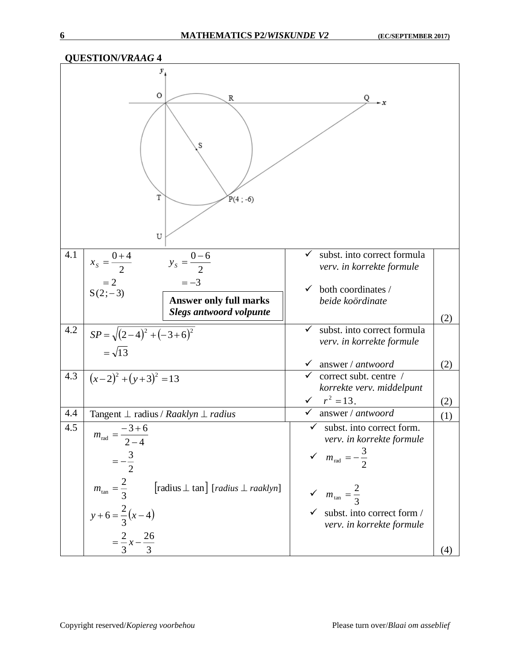|     | <b>QUESTION/VRAAG 4</b>                          |                                                                           |                                                                          |            |
|-----|--------------------------------------------------|---------------------------------------------------------------------------|--------------------------------------------------------------------------|------------|
|     | y,<br>0<br>T<br>U                                | R<br>S<br>$P(4; -6)$                                                      | Q.                                                                       |            |
| 4.1 | $x_s = \frac{0+4}{2}$                            | $y_s = \frac{0-6}{2}$                                                     | subst. into correct formula<br>$\checkmark$<br>verv. in korrekte formule |            |
|     | $=2$<br>$S(2, -3)$                               | $=-3$                                                                     | both coordinates /<br>✓                                                  |            |
|     |                                                  | <b>Answer only full marks</b><br><b>Slegs antwoord volpunte</b>           | beide koördinate                                                         |            |
|     |                                                  |                                                                           |                                                                          | (2)        |
| 4.2 | $SP = \sqrt{(2-4)^2 + (-3+6)^2}$<br>$=\sqrt{13}$ |                                                                           | subst. into correct formula<br>$\checkmark$<br>verv. in korrekte formule |            |
|     |                                                  |                                                                           | answer / antwoord<br>$\checkmark$                                        | (2)        |
| 4.3 | $(x-2)^2 + (y+3)^2 = 13$                         |                                                                           | correct subt. centre /                                                   |            |
|     |                                                  |                                                                           | korrekte verv. middelpunt<br>$r^2 = 13$ .                                |            |
| 4.4 |                                                  | Tangent $\perp$ radius / Raaklyn $\perp$ radius                           | $\checkmark$<br>answer / antwoord                                        | (2)<br>(1) |
| 4.5 |                                                  |                                                                           | subst. into correct form.<br>✔                                           |            |
|     | $m_{\text{rad}} = \frac{-3+6}{2-4}$              |                                                                           | verv. in korrekte formule                                                |            |
|     | $=-\frac{3}{2}$                                  |                                                                           | $\mathcal{M}_{\text{rad}} = -\frac{3}{2}$                                |            |
|     |                                                  |                                                                           |                                                                          |            |
|     | $m_{\text{tan}} = \frac{2}{3}$                   | $[\text{radius} \perp \text{tan}]$ $[\text{radius} \perp \text{raaklyn}]$ | $\sqrt{m_{\tan}^2} = \frac{2}{3}$                                        |            |
|     | $y+6=\frac{2}{3}(x-4)$                           |                                                                           | subst. into correct form /<br>$\checkmark$<br>verv. in korrekte formule  |            |
|     | $=\frac{2}{3}x-\frac{26}{3}$                     |                                                                           |                                                                          |            |
|     |                                                  |                                                                           |                                                                          | (4)        |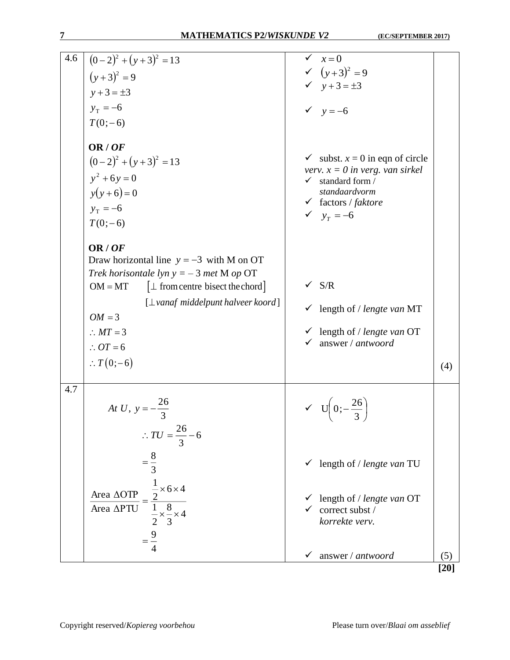| 4.6 |                                                                                                              | $\checkmark$<br>$x=0$                                                             |                   |
|-----|--------------------------------------------------------------------------------------------------------------|-----------------------------------------------------------------------------------|-------------------|
|     | $\left( (0-2)^2 + (y+3)^2 \right) = 13$                                                                      | $\checkmark (y+3)^2 = 9$                                                          |                   |
|     | $(y+3)^2 = 9$                                                                                                | $y + 3 = \pm 3$                                                                   |                   |
|     | $y + 3 = \pm 3$                                                                                              |                                                                                   |                   |
|     | $y_T = -6$                                                                                                   | $y = -6$                                                                          |                   |
|     | $T(0;-6)$                                                                                                    |                                                                                   |                   |
|     |                                                                                                              |                                                                                   |                   |
|     | OR/OF                                                                                                        |                                                                                   |                   |
|     | $(0-2)^2 + (y+3)^2 = 13$                                                                                     | $\checkmark$ subst. $x = 0$ in eqn of circle<br>verv. $x = 0$ in verg. van sirkel |                   |
|     | $y^2 + 6y = 0$                                                                                               | $\checkmark$ standard form /                                                      |                   |
|     | $y(y+6)=0$                                                                                                   | standaardvorm                                                                     |                   |
|     | $y_T = -6$                                                                                                   | $\checkmark$ factors / faktore                                                    |                   |
|     | $T(0;-6)$                                                                                                    | $\sqrt{y_r} = -6$                                                                 |                   |
|     |                                                                                                              |                                                                                   |                   |
|     | OR/OF                                                                                                        |                                                                                   |                   |
|     | Draw horizontal line $y = -3$ with M on OT                                                                   |                                                                                   |                   |
|     | Trek horisontale lyn $y = -3$ met M op OT                                                                    |                                                                                   |                   |
|     | $\lceil \perp \text{ from centre bisect the chord} \rceil$<br>$OM = MT$                                      | $\sqrt{S/R}$                                                                      |                   |
|     | $\lceil \bot$ vanaf middelpunt halveer koord]                                                                | $\checkmark$ length of / lengte van MT                                            |                   |
|     | $OM = 3$                                                                                                     |                                                                                   |                   |
|     | $\therefore MT = 3$                                                                                          | $\checkmark$ length of / lengte van OT                                            |                   |
|     | $\therefore OT = 6$                                                                                          | answer / antwoord                                                                 |                   |
|     | $\therefore T(0;-6)$                                                                                         |                                                                                   | (4)               |
|     |                                                                                                              |                                                                                   |                   |
| 4.7 |                                                                                                              |                                                                                   |                   |
|     | At U, $y = -\frac{26}{3}$                                                                                    | $V = U\left(0, -\frac{26}{2}\right)$                                              |                   |
|     |                                                                                                              |                                                                                   |                   |
|     | $\therefore TU = \frac{26}{3} - 6$                                                                           |                                                                                   |                   |
|     |                                                                                                              |                                                                                   |                   |
|     | $=\frac{8}{3}$                                                                                               | $\checkmark$ length of / lengte van TU                                            |                   |
|     |                                                                                                              |                                                                                   |                   |
|     | $=\frac{\frac{1}{2} \times 6 \times 4}{\frac{1}{2} \times \frac{8}{3} \times 4}$<br>Area $\Delta \text{OTP}$ |                                                                                   |                   |
|     |                                                                                                              | length of / lengte van OT                                                         |                   |
|     | $\frac{1}{\text{Area } \Delta \text{PTU}}$                                                                   | correct subst /<br>korrekte verv.                                                 |                   |
|     |                                                                                                              |                                                                                   |                   |
|     |                                                                                                              |                                                                                   |                   |
|     |                                                                                                              | answer / antwoord<br>✓                                                            | (5)               |
|     |                                                                                                              |                                                                                   | $\left[20\right]$ |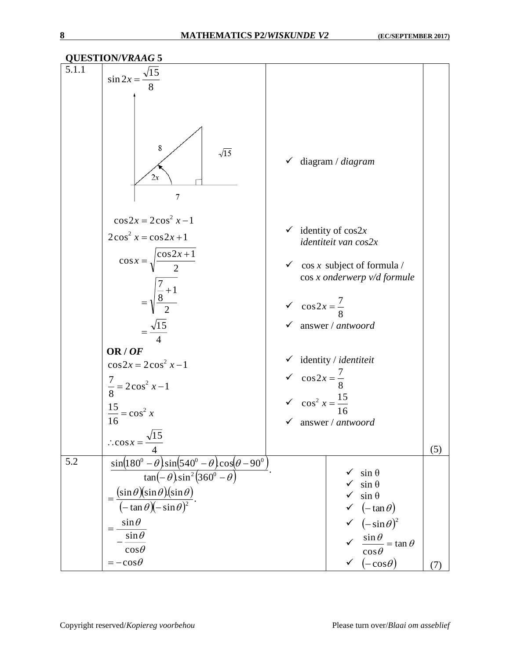| <b>QUESTION/VRAAG 5</b> |                                                                                                                        |                                                                     |                                                                             |     |  |
|-------------------------|------------------------------------------------------------------------------------------------------------------------|---------------------------------------------------------------------|-----------------------------------------------------------------------------|-----|--|
| 5.1.1                   | $\frac{\sqrt{15}}{8}$<br>$\sin 2x = -$                                                                                 |                                                                     |                                                                             |     |  |
|                         | 8<br>$\sqrt{15}$<br>2x<br>$\overline{7}$                                                                               |                                                                     | $\checkmark$ diagram / diagram                                              |     |  |
|                         | $\cos 2x = 2\cos^2 x - 1$<br>$2\cos^2 x = \cos 2x + 1$                                                                 |                                                                     | $\checkmark$ identity of cos2x<br>identiteit van cos2x                      |     |  |
|                         | $\cos x = \sqrt{\frac{\cos 2x + 1}{2}}$                                                                                |                                                                     | $\checkmark$ cos x subject of formula /<br>$\cos x$ onderwerp $v/d$ formule |     |  |
|                         | $=\sqrt{\frac{7}{8}+1}$                                                                                                | $\sqrt{\cos 2x} = \frac{7}{8}$                                      | $\checkmark$ answer / antwoord                                              |     |  |
|                         | $=\frac{\sqrt{15}}{1}$<br>OR/OF                                                                                        |                                                                     |                                                                             |     |  |
|                         | $\cos 2x = 2\cos^2 x - 1$                                                                                              |                                                                     | $\checkmark$ identity / identiteit                                          |     |  |
|                         |                                                                                                                        |                                                                     |                                                                             |     |  |
|                         | $\frac{7}{8}$ = 2cos <sup>2</sup> x -1                                                                                 | $\sqrt{\cos 2x} = \frac{7}{8}$<br>$\sqrt{\cos^2 x} = \frac{15}{16}$ |                                                                             |     |  |
|                         | $\frac{15}{16} = \cos^2 x$                                                                                             |                                                                     |                                                                             |     |  |
|                         |                                                                                                                        |                                                                     | $\checkmark$ answer / antwoord                                              |     |  |
|                         | $\therefore \cos x =$                                                                                                  |                                                                     |                                                                             |     |  |
| 5.2                     |                                                                                                                        |                                                                     |                                                                             | (5) |  |
|                         | $\sin(180^\circ - \theta) \sin(540^\circ - \theta) \cos(\theta - 90^\circ)$<br>$\tan(-\theta)\sin^2(360^\circ-\theta)$ |                                                                     | $\sin \theta$<br>$\checkmark$                                               |     |  |
|                         |                                                                                                                        |                                                                     | $\sin \theta$                                                               |     |  |
|                         | $=\frac{(\sin \theta)(\sin \theta)(\sin \theta)}{}$<br>$\sqrt{(-\tan \theta)(-\sin \theta)^2}$                         |                                                                     | $\checkmark$ sin $\theta$                                                   |     |  |
|                         | $\sin\theta$                                                                                                           |                                                                     | $\checkmark$ $(-\tan\theta)$<br>$\checkmark$ $(-\sin\theta)^2$              |     |  |
|                         | = -<br>$\sin \theta$                                                                                                   |                                                                     |                                                                             |     |  |
|                         | $cos\theta$                                                                                                            |                                                                     | $\sqrt{\frac{\sin \theta}{\cos \theta}} = \tan \theta$                      |     |  |
|                         | $=-\cos\theta$                                                                                                         |                                                                     | $(-\cos\theta)$<br>✓                                                        | (7) |  |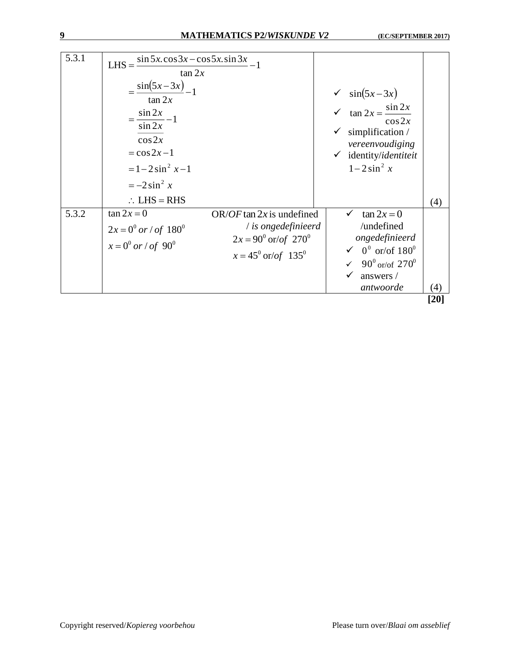| 5.3.1 | LHS = $\frac{\sin 5x \cdot \cos 3x - \cos 5x \cdot \sin 3x}{1}$<br>$\tan 2x$<br>$=\frac{\sin(5x-3x)}{-1}$<br>$\tan 2x$<br>$=\frac{\sin 2x}{\sin 2x}-1$<br>$\cos 2x$<br>$=\cos 2x-1$<br>$= 1 - 2 \sin^2 x - 1$<br>$=-2\sin^2 x$<br>$\therefore$ LHS = RHS |                                                                                                               | $\checkmark$ sin(5x-3x)<br>$\checkmark$ tan $2x = \frac{\sin 2x}{\sin 2x}$<br>$\cos 2x$<br>$\checkmark$ simplification /<br>vereenvoudiging<br>$\checkmark$ identity/identiteit<br>$1-2\sin^2 x$ | (4)              |
|-------|----------------------------------------------------------------------------------------------------------------------------------------------------------------------------------------------------------------------------------------------------------|---------------------------------------------------------------------------------------------------------------|--------------------------------------------------------------------------------------------------------------------------------------------------------------------------------------------------|------------------|
| 5.3.2 | $\tan 2x = 0$                                                                                                                                                                                                                                            | OR/OF tan $2x$ is undefined                                                                                   | $\tan 2x = 0$                                                                                                                                                                                    |                  |
|       | $2x = 0^0$ or / of $180^0$<br>$x = 0^0$ or / of 90 <sup>0</sup>                                                                                                                                                                                          | / is ongedefinieerd<br>$2x = 90^{\circ}$ or/of 270 <sup>°</sup><br>$x = 45^{\circ} \text{ or/of} 135^{\circ}$ | /undefined<br>ongedefinieerd<br>$\sqrt{0^0}$ or/of $180^0$<br>✓ 90 $^{\circ}$ or/of 270 $^{\circ}$<br>answers /<br>antwoorde                                                                     | $\left(4\right)$ |

**[20]**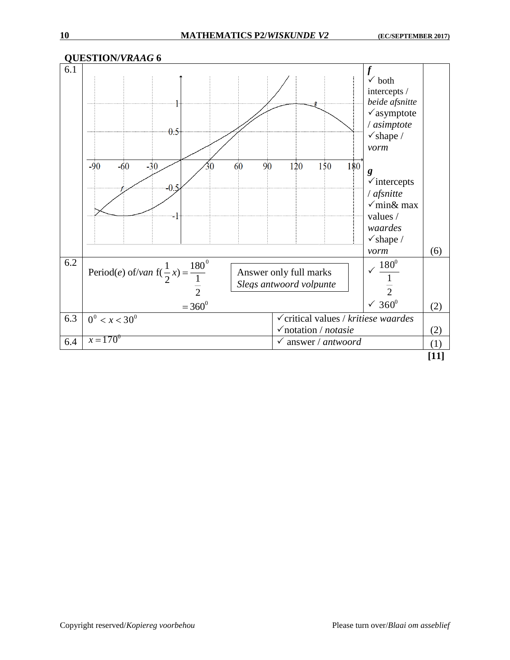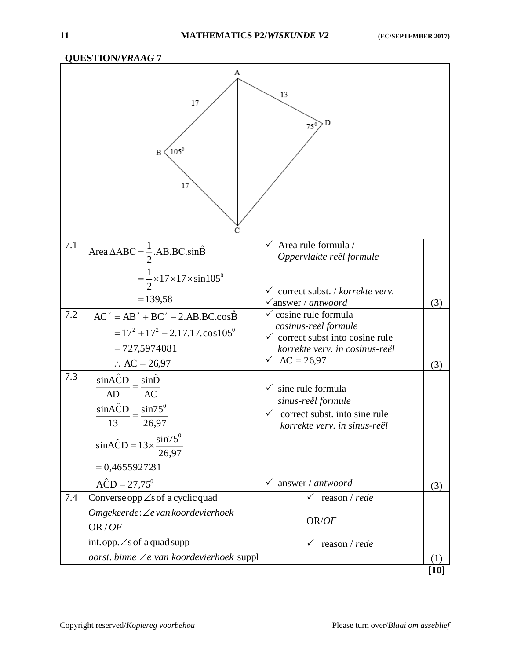|     | <b>QUESTION/VRAAG7</b>                                                                                                                   |                     |                                                                                                                                           |        |
|-----|------------------------------------------------------------------------------------------------------------------------------------------|---------------------|-------------------------------------------------------------------------------------------------------------------------------------------|--------|
|     | А<br>17<br>$105^\circ$<br>B<br>17<br>C                                                                                                   | 13                  | , D<br>$75^\circ$                                                                                                                         |        |
| 7.1 | Area $\triangle ABC = \frac{1}{2}$ .AB.BC.sin $\hat{B}$                                                                                  | $\checkmark$        | Area rule formula /<br>Oppervlakte reël formule                                                                                           |        |
|     | $=\frac{1}{2}\times17\times17\times\sin 105^\circ$<br>$= 139,58$                                                                         |                     | $\checkmark$ correct subst. / korrekte verv.<br>$\sqrt{a}$ nswer / antwoord                                                               | (3)    |
| 7.2 | $AC2 = AB2 + BC2 - 2.AB.BC.cos\hat{B}$<br>$= 17^2 + 17^2 - 2.17.17 \cdot \cos 105^\circ$<br>$= 727,5974081$<br>$\therefore$ AC = 26,97   | $\sqrt{AC} = 26.97$ | $\checkmark$ cosine rule formula<br>cosinus-reël formule<br>$\checkmark$ correct subst into cosine rule<br>korrekte verv. in cosinus-reël | (3)    |
| 7.3 | sinACD<br>sinD<br>AC<br>AD<br>sinACD<br>$sin75^\circ$<br>26,97<br>13<br>$sinACD = 13 \times \frac{sin75^{\circ}}{2}$<br>$= 0,4655927231$ | $\checkmark$        | sine rule formula<br>sinus-reël formule<br>$\checkmark$ correct subst. into sine rule<br>korrekte verv. in sinus-reël                     |        |
|     | $\angle ACD = 27,75^{\circ}$                                                                                                             | $\checkmark$        | answer / antwoord                                                                                                                         | (3)    |
| 7.4 | Converse opp $\angle$ s of a cyclic quad<br>Omgekeerde: ∠e van koordevierhoek<br>OR/OF                                                   |                     | reason / rede<br>OR/OF                                                                                                                    |        |
|     | int.opp. $\angle$ s of a quad supp<br>oorst. binne $\angle e$ van koordevierhoek suppl                                                   |                     | reason / rede                                                                                                                             | (1)    |
|     |                                                                                                                                          |                     |                                                                                                                                           | $[10]$ |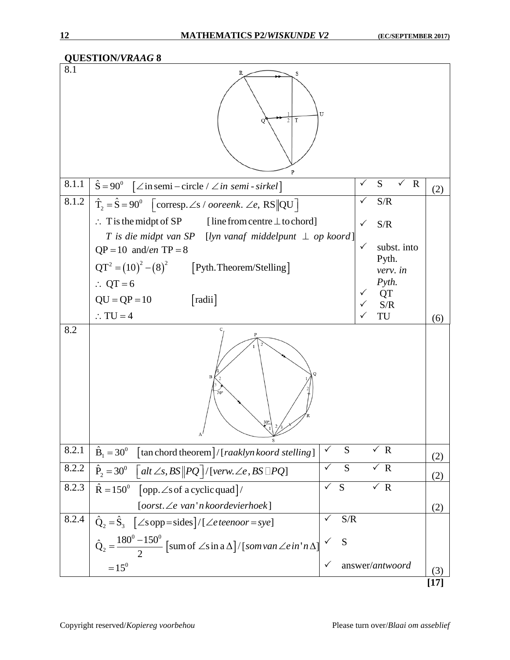|       | <b>QUESTION/VRAAG 8</b>                                                                                       |                     |                                       |        |
|-------|---------------------------------------------------------------------------------------------------------------|---------------------|---------------------------------------|--------|
| 8.1   | S<br>T<br>2<br>$\mathbf{P}$                                                                                   | U                   |                                       |        |
| 8.1.1 | $\hat{S} = 90^{\circ}$ $[\angle \text{in semi} - \text{circle} / \angle \text{in semi} - \text{sirkel}]$      |                     | S<br>$\mathbf R$<br>✓<br>$\checkmark$ | (2)    |
| 8.1.2 | $\hat{T}_2 = \hat{S} = 90^\circ$ [corresp. $\angle$ s / ooreenk. $\angle$ e, RS  QU]                          |                     | S/R                                   |        |
|       | $\therefore$ T is the midpt of SP<br>[line from centre $\perp$ to chord]                                      |                     | S/R<br>$\checkmark$                   |        |
|       | T is die midpt van SP [lyn vanaf middelpunt $\perp$ op koord]<br>$QP = 10$ and/en TP = 8                      |                     | $\checkmark$<br>subst. into           |        |
|       | $QT^2 = (10)^2 - (8)^2$ [Pyth. Theorem/Stelling]                                                              |                     | Pyth.                                 |        |
|       | $\therefore$ QT = 6                                                                                           |                     | verv. in<br>$P$ <i>yth.</i>           |        |
|       | [radii]<br>$QU = QP = 10$                                                                                     |                     | <b>QT</b>                             |        |
|       | $\therefore$ TU = 4                                                                                           |                     | S/R<br>TU                             | (6)    |
| 8.2   | 70'<br>$\overline{\smash{\bigstar}^3}$                                                                        |                     |                                       |        |
| 8.2.1 | $\hat{\mathbf{B}}_1 = 30^\circ$ [tan chord theorem]/[raaklyn koord stelling]                                  | S                   | $\sqrt{R}$                            | (2)    |
| 8.2.2 | $\hat{P}_2 = 30^\circ$ $\int alt \angle s, BS \Vert PQ \Vert / [verw \angle e, BS \Vert PQ]$                  | $\sqrt{}$<br>S      | $\times R$                            | (2)    |
| 8.2.3 | $\hat{R} = 150^{\circ}$ [opp. $\angle$ s of a cyclic quad]/                                                   | $\checkmark$<br>S   | $\times R$                            |        |
|       | [oorst.∠e van'n koordevierhoek]                                                                               |                     |                                       | (2)    |
| 8.2.4 | $\hat{Q}_2 = \hat{S}_3$ [ $\angle$ s opp=sides]/[ $\angle$ e teenoor=sye]                                     | S/R<br>$\checkmark$ |                                       |        |
|       | $\hat{Q}_2 = \frac{180^0 - 150^0}{2}$ [sum of $\angle$ s in a $\Delta$ ]/[som van $\angle e$ in 'n $\Delta$ ] | S                   |                                       |        |
|       | $=15^{0}$                                                                                                     |                     | answer/antwoord                       | (3)    |
|       |                                                                                                               |                     |                                       | [ $17$ |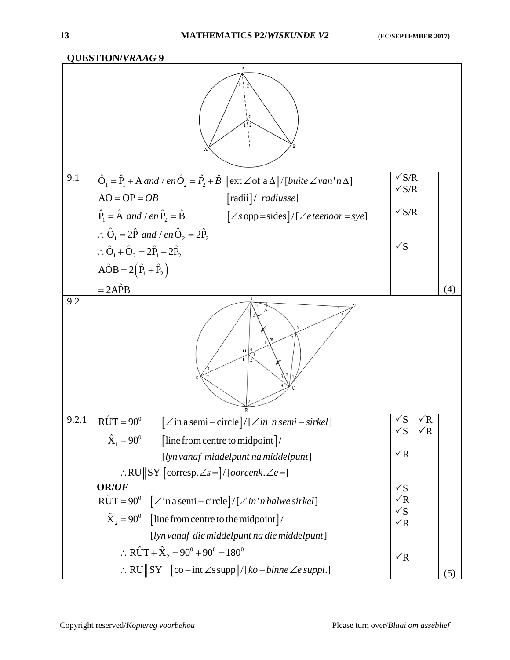**QUESTION/***VRAAG* **9** 9.1  $\hat{O}_1 = \hat{P}_1 + A$  and / en  $\hat{O}_2 = \hat{P}_2 + \hat{B} \ \ \big[ {\rm ext} \angle \textrm{of a} \, \Delta \big]/ \big[ \textrm{buite} \, \angle \textrm{van}^* \textrm{n} \, \Delta \big]$  $AO = OP = OB$  [radii]/[*radiusse*]  $\hat{P}_1 = \hat{A}$  and / en  $\hat{P}_2 = \hat{B}$   $[\angle s$  opp=sides]/[ $\angle e$  teenoor = sye]  $\angle AOB = 2(\hat{P}_1 + \hat{P}_2)$  $\therefore$   $\hat{O}_1 = 2\hat{P}_1$  and / en $\hat{O}_2 = 2\hat{P}_2$  $\therefore \hat{O}_1 + \hat{O}_2 = 2\hat{P}_1 + 2\hat{P}_2$  $=2A\hat{P}B$  $AO = OP = OB$  $\sqrt{\rm S/R}$  $\sqrt{S/R}$  $\sqrt{S/R}$  $\sqrt{S}$ (4) 9.2 9.2.1  $\hat{\text{RUT}} = 90^\circ$  [ $\angle$  in a semi – circle]/[ $\angle$  in 'n semi – sirkel]  $\int_0^0$  [line from centre to midpoint]  $\therefore$ RU $\parallel$ SY [corresp. $\angle$ s = ]/[*ooreenk*. $\angle$ e =]  $\hat{X}_1 = 90^\circ$  [line from centre to midpoint]/ [ ] *lynvanaf middelpunt na middelpunt* **OR/***OF*  $\angle R\hat{U}T = 90^\circ$   $\left[ \angle \text{in a semi-circle} \right] / \left[ \angle \text{in 'n halwe sirkel} \right]$  $\int_0^0$  [line from centre to the midpoint]  $\therefore$  RU  $\parallel$  SY  $\quad$  [co – int  $\angle$ s supp] / [ko – binne  $\angle$ e suppl.]  $\hat{X}_2 = 90^\circ$  [line from centre to the midpoint]/  $0 \cdot \alpha 0 1 0 0$  $\therefore$  RÛT +  $\hat{X}_2 = 90^0 + 90^0 = 180$ [ ] *lynvanaf diemiddelpunt na diemiddelpunt*  $\sqrt{S}$   $\sqrt{R}$  $\sqrt{S}$   $\sqrt{R}$  $\sqrt{R}$  $\sqrt{S}$  $\sqrt{R}$  $\sqrt{S}$  $\sqrt{R}$  $\sqrt{R}$ (5)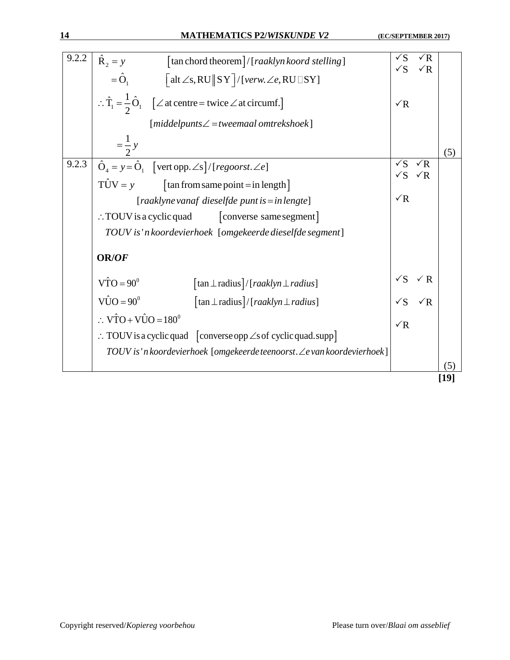| 9.2.2 | $\hat{\mathbf{R}}_2 = y$<br>$\lceil$ tan chord theorem $\lceil$ / $\lceil$ raaklyn koord stelling $\rceil$                                         | $\sqrt{S}$                          | $\sqrt{R}$ |     |
|-------|----------------------------------------------------------------------------------------------------------------------------------------------------|-------------------------------------|------------|-----|
|       | $=\hat{O}_1$ $\qquad \qquad$ $\lceil \text{alt} \angle s, \text{RU} \rceil \text{ST} \rceil / [\text{verw.} \angle e, \text{RU} \rceil \text{SY}]$ | $\sqrt{S}$                          | $\sqrt{R}$ |     |
|       | $\therefore \hat{T}_1 = \frac{1}{2} \hat{O}_1$ [ $\angle$ at centre = twice $\angle$ at circumf.]                                                  | $\sqrt{R}$                          |            |     |
|       | $[middelpunts \angle = twoemaal omtrekshoek]$                                                                                                      |                                     |            |     |
|       | $=\frac{1}{2}y$                                                                                                                                    |                                     |            | (5) |
| 9.2.3 | $\hat{O}_4 = y = \hat{O}_1$ [vert opp. $\angle$ s]/[regoorst. $\angle$ e]                                                                          | $\sqrt{S}$<br>$\sqrt{S}$ $\sqrt{R}$ | $\sqrt{R}$ |     |
|       | $T\hat{U}V = y$<br>$\lceil \tan \text{from same point} = \text{in length} \rceil$                                                                  |                                     |            |     |
|       | [raaklyne vanaf dieselfde punt is = in lengte]                                                                                                     | $\sqrt{R}$                          |            |     |
|       | $\therefore$ TOUV is a cyclic quad<br>[converse same segment]                                                                                      |                                     |            |     |
|       | TOUV is 'n koordevierhoek [omgekeerde dieselfde segment]                                                                                           |                                     |            |     |
|       | <b>OR/OF</b>                                                                                                                                       |                                     |            |     |
|       | $\hat{VTO} = 90^\circ$<br>$\lceil \tan \perp \text{radius} \rceil / \lceil \text{reaklyn} \perp \text{radius} \rceil$                              | $\sqrt{S}$                          | $\sqrt{R}$ |     |
|       | $V\hat{U}O = 90^{\circ}$<br>$\lceil \tan \perp \text{radius} \rceil / \lfloor \text{reaklyn} \perp \text{radius} \rfloor$                          | $\sqrt{S}$                          | $\sqrt{R}$ |     |
|       | $\therefore$ VTO + VÛO = 180 <sup>0</sup>                                                                                                          | $\sqrt{R}$                          |            |     |
|       | $\therefore$ TOUV is a cyclic quad [converse opp $\angle$ s of cyclic quad.supp]                                                                   |                                     |            |     |
|       | TOUV is 'n koordevierhoek [omgekeerde teenoorst. ∠e van koordevierhoek]                                                                            |                                     |            |     |
|       |                                                                                                                                                    |                                     |            | (5) |
|       |                                                                                                                                                    |                                     |            |     |